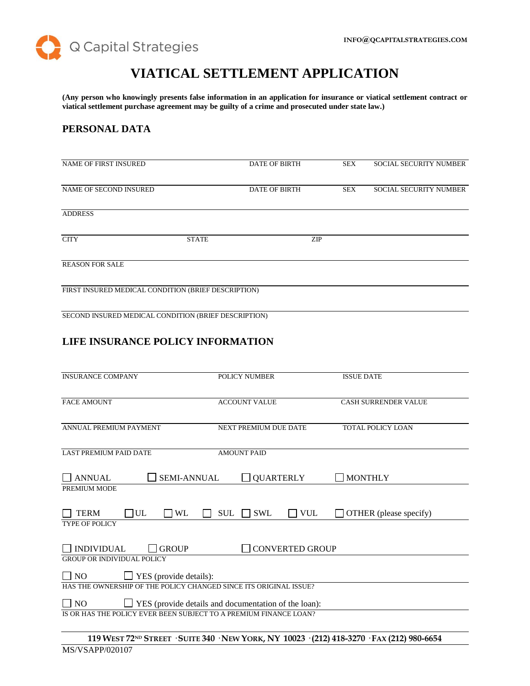

# **VIATICAL SETTLEMENT APPLICATION**

**(Any person who knowingly presents false information in an application for insurance or viatical settlement contract or viatical settlement purchase agreement may be guilty of a crime and prosecuted under state law.)**

# **PERSONAL DATA**

| <b>NAME OF FIRST INSURED</b>                        |              | <b>DATE OF BIRTH</b> | <b>SEX</b> | <b>SOCIAL SECURITY NUMBER</b> |
|-----------------------------------------------------|--------------|----------------------|------------|-------------------------------|
| NAME OF SECOND INSURED                              |              | <b>DATE OF BIRTH</b> | <b>SEX</b> | <b>SOCIAL SECURITY NUMBER</b> |
| <b>ADDRESS</b>                                      |              |                      |            |                               |
| <b>CITY</b>                                         | <b>STATE</b> | ZIP                  |            |                               |
| <b>REASON FOR SALE</b>                              |              |                      |            |                               |
| FIRST INSURED MEDICAL CONDITION (BRIEF DESCRIPTION) |              |                      |            |                               |
|                                                     |              |                      |            |                               |

SECOND INSURED MEDICAL CONDITION (BRIEF DESCRIPTION)

# **LIFE INSURANCE POLICY INFORMATION**

| <b>INSURANCE COMPANY</b>                                                 | <b>POLICY NUMBER</b>                                              | <b>ISSUE DATE</b>                      |  |
|--------------------------------------------------------------------------|-------------------------------------------------------------------|----------------------------------------|--|
| <b>FACE AMOUNT</b>                                                       | <b>ACCOUNT VALUE</b>                                              | <b>CASH SURRENDER VALUE</b>            |  |
| ANNUAL PREMIUM PAYMENT                                                   | <b>NEXT PREMIUM DUE DATE</b>                                      | <b>TOTAL POLICY LOAN</b>               |  |
| <b>LAST PREMIUM PAID DATE</b>                                            | <b>AMOUNT PAID</b>                                                |                                        |  |
| <b>SEMI-ANNUAL</b><br><b>ANNUAL</b>                                      | <b>QUARTERLY</b>                                                  | $\Box$ MONTHLY                         |  |
| PREMIUM MODE                                                             |                                                                   |                                        |  |
| UL<br><b>TERM</b><br><b>WL</b>                                           | <b>SUL</b><br><b>SWL</b><br><b>VUL</b>                            | OTHER (please specify)<br>$\mathsf{L}$ |  |
| <b>TYPE OF POLICY</b>                                                    |                                                                   |                                        |  |
| <b>INDIVIDUAL</b><br><b>GROUP</b>                                        | <b>CONVERTED GROUP</b>                                            |                                        |  |
| <b>GROUP OR INDIVIDUAL POLICY</b>                                        |                                                                   |                                        |  |
| $\Box$ NO<br>$\Box$ YES (provide details):                               |                                                                   |                                        |  |
| HAS THE OWNERSHIP OF THE POLICY CHANGED SINCE ITS ORIGINAL ISSUE?        |                                                                   |                                        |  |
| $\Box$ YES (provide details and documentation of the loan):<br>$\Box$ NO |                                                                   |                                        |  |
|                                                                          | IS OR HAS THE POLICY EVER BEEN SUBJECT TO A PREMIUM FINANCE LOAN? |                                        |  |
|                                                                          |                                                                   |                                        |  |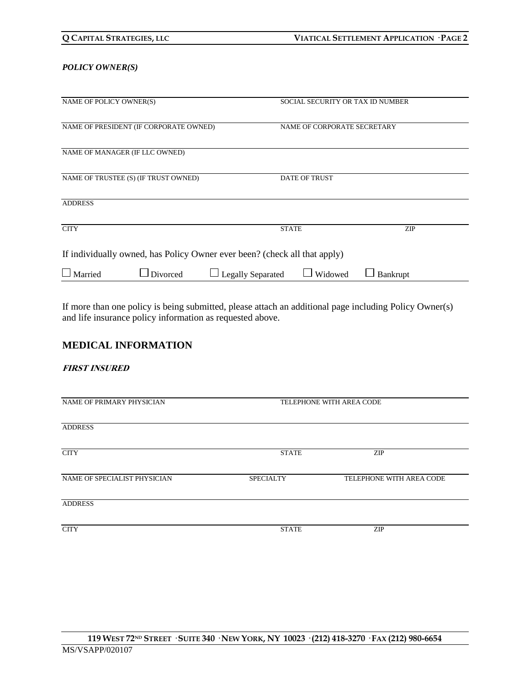| Q CAPITAL STRATEGIES, LLC |
|---------------------------|
|---------------------------|

### *POLICY OWNER(S)*

| NAME OF POLICY OWNER(S)                                                   | SOCIAL SECURITY OR TAX ID NUMBER    |            |  |
|---------------------------------------------------------------------------|-------------------------------------|------------|--|
| NAME OF PRESIDENT (IF CORPORATE OWNED)                                    | NAME OF CORPORATE SECRETARY         |            |  |
| NAME OF MANAGER (IF LLC OWNED)                                            |                                     |            |  |
| NAME OF TRUSTEE (S) (IF TRUST OWNED)                                      | <b>DATE OF TRUST</b>                |            |  |
| <b>ADDRESS</b>                                                            |                                     |            |  |
| <b>CITY</b>                                                               | <b>STATE</b>                        | <b>ZIP</b> |  |
| If individually owned, has Policy Owner ever been? (check all that apply) |                                     |            |  |
| $\Box$ Married<br>$\Box$ Divorced                                         | <b>Legally Separated</b><br>Widowed | Bankrupt   |  |

If more than one policy is being submitted, please attach an additional page including Policy Owner(s) and life insurance policy information as requested above.

# **MEDICAL INFORMATION**

### **FIRST INSURED**

| NAME OF PRIMARY PHYSICIAN    | TELEPHONE WITH AREA CODE |                          |
|------------------------------|--------------------------|--------------------------|
| <b>ADDRESS</b>               |                          |                          |
| <b>CITY</b>                  | <b>STATE</b>             | <b>ZIP</b>               |
| NAME OF SPECIALIST PHYSICIAN | <b>SPECIALTY</b>         | TELEPHONE WITH AREA CODE |
| <b>ADDRESS</b>               |                          |                          |
| <b>CITY</b>                  | <b>STATE</b>             | <b>ZIP</b>               |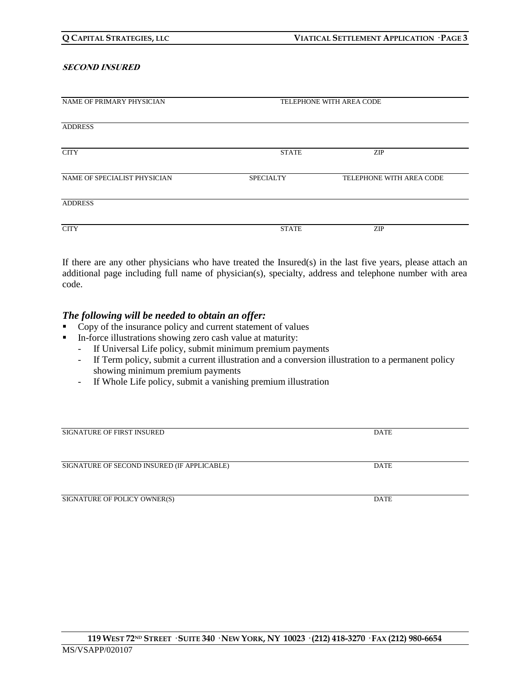#### **SECOND INSURED**

| NAME OF PRIMARY PHYSICIAN    |                  | TELEPHONE WITH AREA CODE |  |
|------------------------------|------------------|--------------------------|--|
|                              |                  |                          |  |
|                              |                  |                          |  |
| <b>ADDRESS</b>               |                  |                          |  |
|                              |                  |                          |  |
|                              |                  |                          |  |
| <b>CITY</b>                  | <b>STATE</b>     | <b>ZIP</b>               |  |
|                              |                  |                          |  |
|                              |                  |                          |  |
| NAME OF SPECIALIST PHYSICIAN | <b>SPECIALTY</b> | TELEPHONE WITH AREA CODE |  |
|                              |                  |                          |  |
|                              |                  |                          |  |
| <b>ADDRESS</b>               |                  |                          |  |
|                              |                  |                          |  |
|                              |                  |                          |  |
| <b>CITY</b>                  | <b>STATE</b>     | <b>ZIP</b>               |  |
|                              |                  |                          |  |

If there are any other physicians who have treated the Insured(s) in the last five years, please attach an additional page including full name of physician(s), specialty, address and telephone number with area code.

### *The following will be needed to obtain an offer:*

- Copy of the insurance policy and current statement of values
- In-force illustrations showing zero cash value at maturity:
	- If Universal Life policy, submit minimum premium payments
	- If Term policy, submit a current illustration and a conversion illustration to a permanent policy showing minimum premium payments
	- If Whole Life policy, submit a vanishing premium illustration

| <b>SIGNATURE OF FIRST INSURED</b>           | DATE        |
|---------------------------------------------|-------------|
|                                             |             |
|                                             |             |
| SIGNATURE OF SECOND INSURED (IF APPLICABLE) | <b>DATE</b> |
|                                             |             |
|                                             |             |
| SIGNATURE OF POLICY OWNER(S)                | <b>DATE</b> |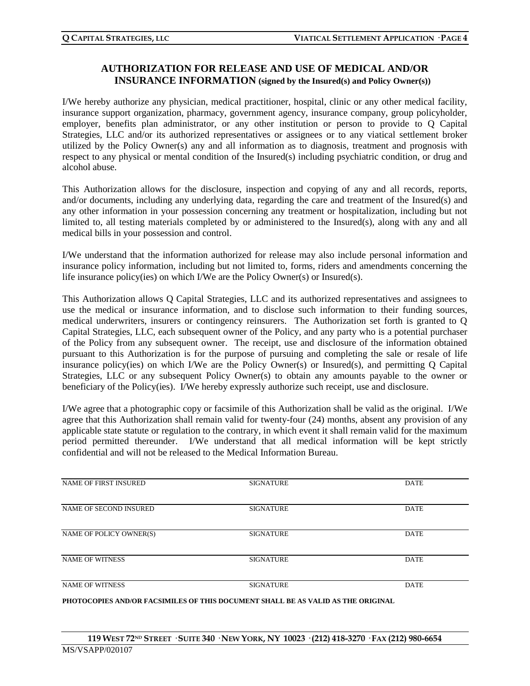# **AUTHORIZATION FOR RELEASE AND USE OF MEDICAL AND/OR INSURANCE INFORMATION (signed by the Insured(s) and Policy Owner(s))**

I/We hereby authorize any physician, medical practitioner, hospital, clinic or any other medical facility, insurance support organization, pharmacy, government agency, insurance company, group policyholder, employer, benefits plan administrator, or any other institution or person to provide to Q Capital Strategies, LLC and/or its authorized representatives or assignees or to any viatical settlement broker utilized by the Policy Owner(s) any and all information as to diagnosis, treatment and prognosis with respect to any physical or mental condition of the Insured(s) including psychiatric condition, or drug and alcohol abuse.

This Authorization allows for the disclosure, inspection and copying of any and all records, reports, and/or documents, including any underlying data, regarding the care and treatment of the Insured(s) and any other information in your possession concerning any treatment or hospitalization, including but not limited to, all testing materials completed by or administered to the Insured(s), along with any and all medical bills in your possession and control.

I/We understand that the information authorized for release may also include personal information and insurance policy information, including but not limited to, forms, riders and amendments concerning the life insurance policy(ies) on which I/We are the Policy Owner(s) or Insured(s).

This Authorization allows Q Capital Strategies, LLC and its authorized representatives and assignees to use the medical or insurance information, and to disclose such information to their funding sources, medical underwriters, insurers or contingency reinsurers. The Authorization set forth is granted to Q Capital Strategies, LLC, each subsequent owner of the Policy, and any party who is a potential purchaser of the Policy from any subsequent owner. The receipt, use and disclosure of the information obtained pursuant to this Authorization is for the purpose of pursuing and completing the sale or resale of life insurance policy(ies) on which I/We are the Policy Owner(s) or Insured(s), and permitting Q Capital Strategies, LLC or any subsequent Policy Owner(s) to obtain any amounts payable to the owner or beneficiary of the Policy(ies). I/We hereby expressly authorize such receipt, use and disclosure.

I/We agree that a photographic copy or facsimile of this Authorization shall be valid as the original. I/We agree that this Authorization shall remain valid for twenty-four (24) months, absent any provision of any applicable state statute or regulation to the contrary, in which event it shall remain valid for the maximum period permitted thereunder. I/We understand that all medical information will be kept strictly confidential and will not be released to the Medical Information Bureau.

| <b>NAME OF FIRST INSURED</b> | <b>SIGNATURE</b> | <b>DATE</b> |
|------------------------------|------------------|-------------|
| NAME OF SECOND INSURED       | <b>SIGNATURE</b> | <b>DATE</b> |
| NAME OF POLICY OWNER(S)      | <b>SIGNATURE</b> | <b>DATE</b> |
| <b>NAME OF WITNESS</b>       | <b>SIGNATURE</b> | <b>DATE</b> |
| <b>NAME OF WITNESS</b>       | <b>SIGNATURE</b> | <b>DATE</b> |

**PHOTOCOPIES AND/OR FACSIMILES OF THIS DOCUMENT SHALL BE AS VALID AS THE ORIGINAL**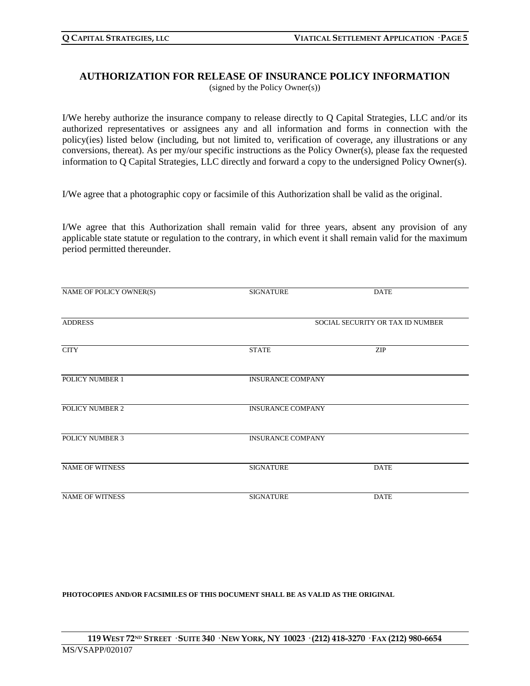### **AUTHORIZATION FOR RELEASE OF INSURANCE POLICY INFORMATION** (signed by the Policy Owner(s))

I/We hereby authorize the insurance company to release directly to Q Capital Strategies, LLC and/or its authorized representatives or assignees any and all information and forms in connection with the policy(ies) listed below (including, but not limited to, verification of coverage, any illustrations or any conversions, thereat). As per my/our specific instructions as the Policy Owner(s), please fax the requested information to Q Capital Strategies, LLC directly and forward a copy to the undersigned Policy Owner(s).

I/We agree that a photographic copy or facsimile of this Authorization shall be valid as the original.

I/We agree that this Authorization shall remain valid for three years, absent any provision of any applicable state statute or regulation to the contrary, in which event it shall remain valid for the maximum period permitted thereunder.

| NAME OF POLICY OWNER(S) | <b>SIGNATURE</b>                 | <b>DATE</b> |
|-------------------------|----------------------------------|-------------|
| <b>ADDRESS</b>          | SOCIAL SECURITY OR TAX ID NUMBER |             |
| <b>CITY</b>             | <b>STATE</b>                     | <b>ZIP</b>  |
| <b>POLICY NUMBER 1</b>  | <b>INSURANCE COMPANY</b>         |             |
| POLICY NUMBER 2         | <b>INSURANCE COMPANY</b>         |             |
| <b>POLICY NUMBER 3</b>  | <b>INSURANCE COMPANY</b>         |             |
| <b>NAME OF WITNESS</b>  | <b>SIGNATURE</b>                 | <b>DATE</b> |
| <b>NAME OF WITNESS</b>  | <b>SIGNATURE</b>                 | <b>DATE</b> |

**PHOTOCOPIES AND/OR FACSIMILES OF THIS DOCUMENT SHALL BE AS VALID AS THE ORIGINAL**